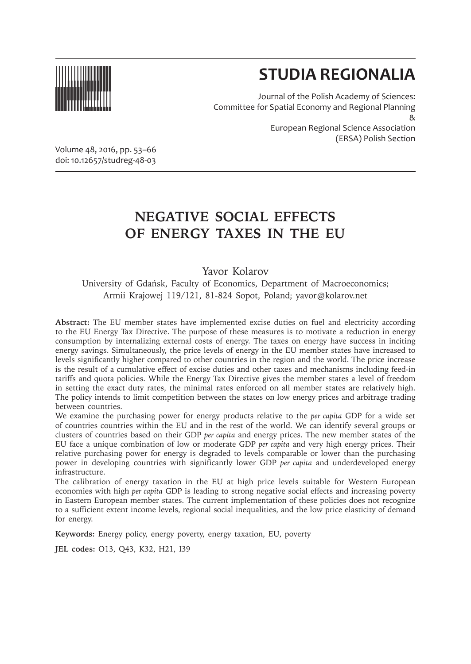

# **STUDIA REGIONALIA**

Journal of the Polish Academy of Sciences: Committee for Spatial Economy and Regional Planning & European Regional Science Association (ERSA) Polish Section

Volume 48, 2016, pp. 53–66 doi: 10.12657/studreg-48-03

# **NEGATIVE SOCIAL EFFECTS OF ENERGY TAXES IN THE EU**

Yavor Kolarov

University of Gdańsk, Faculty of Economics, Department of Macroeconomics; Armii Krajowej 119/121, 81-824 Sopot, Poland; yavor@kolarov.net

**Abstract:** The EU member states have implemented excise duties on fuel and electricity according to the EU Energy Tax Directive. The purpose of these measures is to motivate a reduction in energy consumption by internalizing external costs of energy. The taxes on energy have success in inciting energy savings. Simultaneously, the price levels of energy in the EU member states have increased to levels significantly higher compared to other countries in the region and the world. The price increase is the result of a cumulative effect of excise duties and other taxes and mechanisms including feed-in tariffs and quota policies. While the Energy Tax Directive gives the member states a level of freedom in setting the exact duty rates, the minimal rates enforced on all member states are relatively high. The policy intends to limit competition between the states on low energy prices and arbitrage trading between countries.

We examine the purchasing power for energy products relative to the *per capita* GDP for a wide set of countries countries within the EU and in the rest of the world. We can identify several groups or clusters of countries based on their GDP *per capita* and energy prices. The new member states of the EU face a unique combination of low or moderate GDP *per capita* and very high energy prices. Their relative purchasing power for energy is degraded to levels comparable or lower than the purchasing power in developing countries with significantly lower GDP *per capita* and underdeveloped energy infrastructure.

The calibration of energy taxation in the EU at high price levels suitable for Western European economies with high *per capita* GDP is leading to strong negative social effects and increasing poverty in Eastern European member states. The current implementation of these policies does not recognize to a sufficient extent income levels, regional social inequalities, and the low price elasticity of demand for energy.

**Keywords:** Energy policy, energy poverty, energy taxation, EU, poverty

**JEL codes:** O13, Q43, K32, H21, I39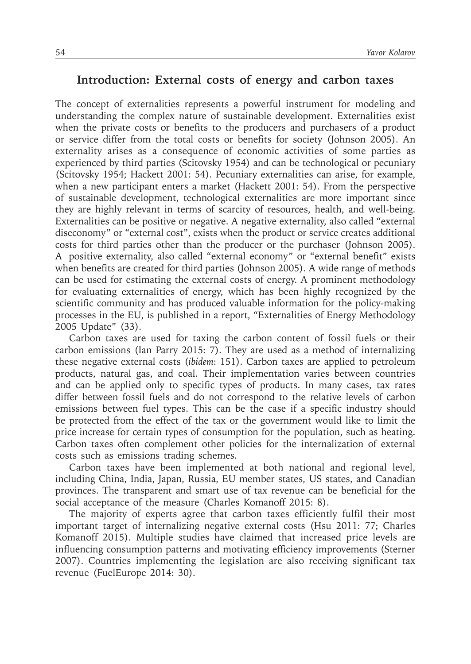#### **Introduction: External costs of energy and carbon taxes**

The concept of externalities represents a powerful instrument for modeling and understanding the complex nature of sustainable development. Externalities exist when the private costs or benefits to the producers and purchasers of a product or service differ from the total costs or benefits for society (Johnson 2005). An externality arises as a consequence of economic activities of some parties as experienced by third parties (Scitovsky 1954) and can be technological or pecuniary (Scitovsky 1954; Hackett 2001: 54). Pecuniary externalities can arise, for example, when a new participant enters a market (Hackett 2001: 54). From the perspective of sustainable development, technological externalities are more important since they are highly relevant in terms of scarcity of resources, health, and well-being. Externalities can be positive or negative. A negative externality, also called "external diseconomy" or "external cost", exists when the product or service creates additional costs for third parties other than the producer or the purchaser (Johnson 2005). A positive externality, also called "external economy" or "external benefit" exists when benefits are created for third parties (Johnson 2005). A wide range of methods can be used for estimating the external costs of energy. A prominent methodology for evaluating externalities of energy, which has been highly recognized by the scientific community and has produced valuable information for the policy-making processes in the EU, is published in a report, "Externalities of Energy Methodology 2005 Update" (33).

Carbon taxes are used for taxing the carbon content of fossil fuels or their carbon emissions (Ian Parry 2015: 7). They are used as a method of internalizing these negative external costs (*ibidem*: 151). Carbon taxes are applied to petroleum products, natural gas, and coal. Their implementation varies between countries and can be applied only to specific types of products. In many cases, tax rates differ between fossil fuels and do not correspond to the relative levels of carbon emissions between fuel types. This can be the case if a specific industry should be protected from the effect of the tax or the government would like to limit the price increase for certain types of consumption for the population, such as heating. Carbon taxes often complement other policies for the internalization of external costs such as emissions trading schemes.

Carbon taxes have been implemented at both national and regional level, including China, India, Japan, Russia, EU member states, US states, and Canadian provinces. The transparent and smart use of tax revenue can be beneficial for the social acceptance of the measure (Charles Komanoff 2015: 8).

The majority of experts agree that carbon taxes efficiently fulfil their most important target of internalizing negative external costs (Hsu 2011: 77; Charles Komanoff 2015). Multiple studies have claimed that increased price levels are influencing consumption patterns and motivating efficiency improvements (Sterner 2007). Countries implementing the legislation are also receiving significant tax revenue (FuelEurope 2014: 30).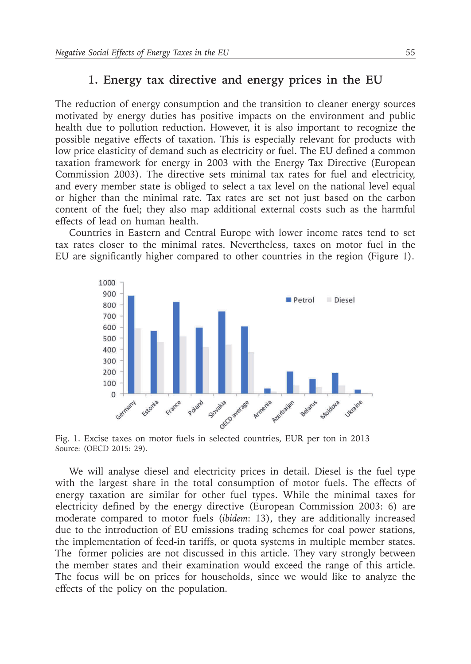#### **1. Energy tax directive and energy prices in the EU**

The reduction of energy consumption and the transition to cleaner energy sources motivated by energy duties has positive impacts on the environment and public health due to pollution reduction. However, it is also important to recognize the possible negative effects of taxation. This is especially relevant for products with low price elasticity of demand such as electricity or fuel. The EU defined a common taxation framework for energy in 2003 with the Energy Tax Directive (European Commission 2003). The directive sets minimal tax rates for fuel and electricity, and every member state is obliged to select a tax level on the national level equal or higher than the minimal rate. Tax rates are set not just based on the carbon content of the fuel; they also map additional external costs such as the harmful effects of lead on human health.

Countries in Eastern and Central Europe with lower income rates tend to set tax rates closer to the minimal rates. Nevertheless, taxes on motor fuel in the EU are significantly higher compared to other countries in the region (Figure 1).



Fig. 1. Excise taxes on motor fuels in selected countries, EUR per ton in 2013 Source: (OECD 2015: 29).

We will analyse diesel and electricity prices in detail. Diesel is the fuel type with the largest share in the total consumption of motor fuels. The effects of energy taxation are similar for other fuel types. While the minimal taxes for electricity defined by the energy directive (European Commission 2003: 6) are moderate compared to motor fuels (*ibidem*: 13), they are additionally increased due to the introduction of EU emissions trading schemes for coal power stations, the implementation of feed-in tariffs, or quota systems in multiple member states. The former policies are not discussed in this article. They vary strongly between the member states and their examination would exceed the range of this article. The focus will be on prices for households, since we would like to analyze the effects of the policy on the population.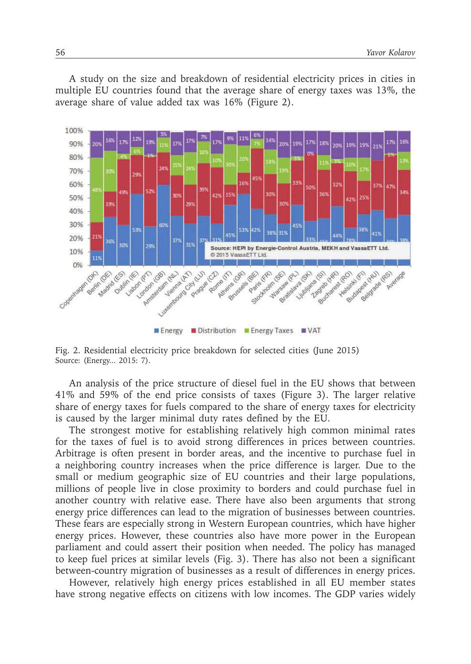A study on the size and breakdown of residential electricity prices in cities in multiple EU countries found that the average share of energy taxes was 13%, the average share of value added tax was 16% (Figure 2).



Fig. 2. Residential electricity price breakdown for selected cities (June 2015) Source: (Energy... 2015: 7).

An analysis of the price structure of diesel fuel in the EU shows that between 41% and 59% of the end price consists of taxes (Figure 3). The larger relative share of energy taxes for fuels compared to the share of energy taxes for electricity is caused by the larger minimal duty rates defined by the EU.

The strongest motive for establishing relatively high common minimal rates for the taxes of fuel is to avoid strong differences in prices between countries. Arbitrage is often present in border areas, and the incentive to purchase fuel in a neighboring country increases when the price difference is larger. Due to the small or medium geographic size of EU countries and their large populations, millions of people live in close proximity to borders and could purchase fuel in another country with relative ease. There have also been arguments that strong energy price differences can lead to the migration of businesses between countries. These fears are especially strong in Western European countries, which have higher energy prices. However, these countries also have more power in the European parliament and could assert their position when needed. The policy has managed to keep fuel prices at similar levels (Fig. 3). There has also not been a significant between-country migration of businesses as a result of differences in energy prices.

However, relatively high energy prices established in all EU member states have strong negative effects on citizens with low incomes. The GDP varies widely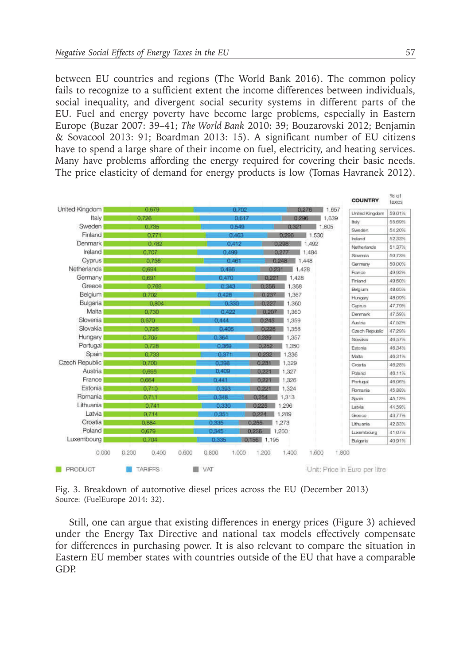between EU countries and regions (The World Bank 2016). The common policy fails to recognize to a sufficient extent the income differences between individuals, social inequality, and divergent social security systems in different parts of the EU. Fuel and energy poverty have become large problems, especially in Eastern Europe (Buzar 2007: 39–41; *The World Bank* 2010: 39; Bouzarovski 2012; Benjamin & Sovacool 2013: 91; Boardman 2013: 15). A significant number of EU citizens have to spend a large share of their income on fuel, electricity, and heating services. Many have problems affording the energy required for covering their basic needs. The price elasticity of demand for energy products is low (Tomas Havranek 2012).

|                  |                                  |                                                                    | <b>COUNTRY</b>                | $%$ of<br>taxes |
|------------------|----------------------------------|--------------------------------------------------------------------|-------------------------------|-----------------|
| United Kingdom   | 0.679                            | 1,657<br>0.702<br>0.276                                            | United Kingdom                | 59.01%          |
| Italy            | 0.726                            | 0.617<br>0.296<br>1.639                                            | ttaty                         | 55,69%          |
| Sweden           | 0.735                            | 0.549<br>1,605<br>0.321                                            | Sweden                        | 54 20%          |
| Finland          | 0.771                            | 0.463<br>1,530<br>0.296                                            | Ireland                       | 52,33%          |
| Denmark          | 0.782                            | 0.412<br>0.298<br>1.492                                            | Netherlands                   | 51,37%          |
| Ireland          | 0.707                            | 0.499<br>0.277<br>1,484                                            | Slovenia                      | 50.73%          |
| Cyprus           | 0.756                            | 0.461<br>1,448<br>0,248                                            | Germany                       | 50,00%          |
| Netherlands      | 0.694                            | 0.231<br>1.428<br>0.486                                            | France                        | 49.92%          |
| Germany          | 0.691                            | 0.470<br>0.221<br>1.428                                            | Finland                       | 49,60%          |
| Greece           | 0.769                            | 0.343<br>0.256<br>1.368                                            | Belgium.                      | 48,65%          |
| Belgium          | 0.702                            | 1,367<br>0.428<br>0.237                                            | Hungary                       | 48,09%          |
| <b>Bulgaria</b>  | 0.804                            | 1.360<br>0.330<br>0.227<br>一                                       | <b>Cyprus</b>                 | 47,79%          |
| Malta            | 0.730                            | 0.422<br>0.207<br>1,360<br>ш                                       | Denmark                       | 47,59%          |
| Slovenia         | 0.670                            | 0.444<br>1,359<br>0.245                                            | Austria                       | 47.52%          |
| Slovakia         | 0.726                            | 0.226<br>1,358<br>0.406                                            | Czech Republic                | 47.29%          |
| Hungary          | 0.705                            | 0.364<br>0.289<br>1,357                                            | Slovakia                      | 46,57%          |
| Portugal         | 0.728                            | 0.252<br>1,350<br>0.369                                            | Estonia                       | 46,34%          |
| Spain            | 0.733                            | 6.371<br>0.232<br>1.336                                            | Malta                         | 46.31%          |
| Czech Republic   | 0.700                            | 1,329<br>0.231<br>0.398                                            | Croatia                       | 46.28%          |
| Austria          | 0.696                            | 0.409<br>0.221<br>1,327                                            | Poland                        | 46.11%          |
| France           | 0.664                            | 0.441<br>0.221<br>1,326                                            | Portugal                      | 46,06%          |
| Estonia          | 0.710                            | 0.221<br>1,324<br>0.393                                            | Romania                       | 45,88%          |
| Romania          | 0.711                            | 0.346<br>0.254<br>1,313                                            | Spain                         | 45.13%          |
| Lithuania        | 0.741                            | 0.330<br>0.225<br>1.296                                            | Latvia                        | 44,59%          |
| Latvia           | 0.714                            | 0.351<br>1,289<br>0.224                                            | Greece                        | 43,77%          |
| Croatia          | 0.684                            | 1,273<br>0.335<br>0.255                                            | Lithuaria                     | 42,83%          |
| Poland           | 0.679                            | 0.345<br>0.236<br>1,260                                            | Luxembourg                    | 41.07%          |
| Luxembourg       | 0.704                            | 0.156 1.195<br>0.335                                               | Bulgaria                      | 40.91%          |
| 0.000<br>PRODUCT | 0.400<br>0.200<br><b>TARIFFS</b> | 1.800<br>0.600<br>0.800<br>1,400<br>1.600<br>1.000<br>1.200<br>VAT | Unit: Price in Euro per litre |                 |

Fig. 3. Breakdown of automotive diesel prices across the EU (December 2013) Source: (FuelEurope 2014: 32).

Still, one can argue that existing differences in energy prices (Figure 3) achieved under the Energy Tax Directive and national tax models effectively compensate for differences in purchasing power. It is also relevant to compare the situation in Eastern EU member states with countries outside of the EU that have a comparable GDP.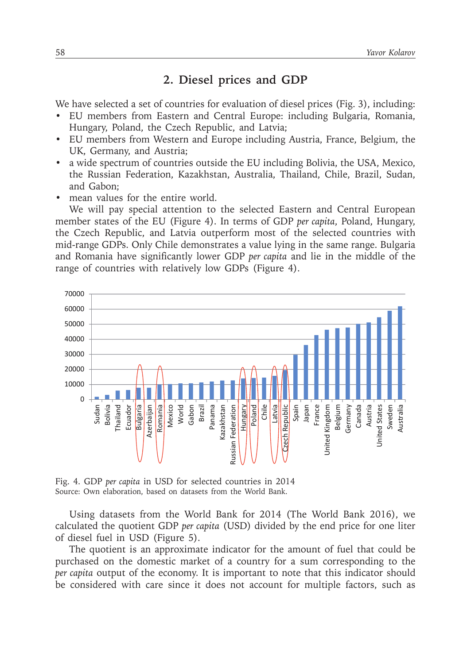### **2. Diesel prices and GDP**

We have selected a set of countries for evaluation of diesel prices (Fig. 3), including:

- EU members from Eastern and Central Europe: including Bulgaria, Romania, Hungary, Poland, the Czech Republic, and Latvia;
- EU members from Western and Europe including Austria, France, Belgium, the UK, Germany, and Austria;
- a wide spectrum of countries outside the EU including Bolivia, the USA, Mexico, the Russian Federation, Kazakhstan, Australia, Thailand, Chile, Brazil, Sudan, and Gabon;
- mean values for the entire world.

We will pay special attention to the selected Eastern and Central European member states of the EU (Figure 4). In terms of GDP *per capita*, Poland, Hungary, the Czech Republic, and Latvia outperform most of the selected countries with mid-range GDPs. Only Chile demonstrates a value lying in the same range. Bulgaria and Romania have significantly lower GDP *per capita* and lie in the middle of the range of countries with relatively low GDPs (Figure 4).



Fig. 4. GDP *per capita* in USD for selected countries in 2014 Source: Own elaboration, based on datasets from the World Bank.

Using datasets from the World Bank for 2014 (The World Bank 2016), we calculated the quotient GDP *per capita* (USD) divided by the end price for one liter of diesel fuel in USD (Figure 5).

The quotient is an approximate indicator for the amount of fuel that could be purchased on the domestic market of a country for a sum corresponding to the *per capita* output of the economy. It is important to note that this indicator should be considered with care since it does not account for multiple factors, such as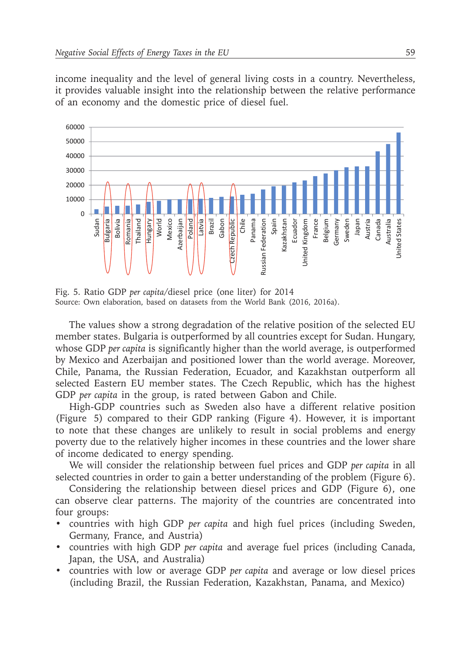income inequality and the level of general living costs in a country. Nevertheless, it provides valuable insight into the relationship between the relative performance of an economy and the domestic price of diesel fuel.



Fig. 5. Ratio GDP *per capita*/diesel price (one liter) for 2014 Source: Own elaboration, based on datasets from the World Bank (2016, 2016a).

The values show a strong degradation of the relative position of the selected EU member states. Bulgaria is outperformed by all countries except for Sudan. Hungary, whose GDP *per capita* is significantly higher than the world average, is outperformed by Mexico and Azerbaijan and positioned lower than the world average. Moreover, Chile, Panama, the Russian Federation, Ecuador, and Kazakhstan outperform all selected Eastern EU member states. The Czech Republic, which has the highest GDP *per capita* in the group, is rated between Gabon and Chile.

High-GDP countries such as Sweden also have a different relative position (Figure 5) compared to their GDP ranking (Figure 4). However, it is important to note that these changes are unlikely to result in social problems and energy poverty due to the relatively higher incomes in these countries and the lower share of income dedicated to energy spending.

We will consider the relationship between fuel prices and GDP *per capita* in all selected countries in order to gain a better understanding of the problem (Figure 6).

Considering the relationship between diesel prices and GDP (Figure 6), one can observe clear patterns. The majority of the countries are concentrated into four groups:

- countries with high GDP *per capita* and high fuel prices (including Sweden, Germany, France, and Austria)
- countries with high GDP *per capita* and average fuel prices (including Canada, Japan, the USA, and Australia)
- countries with low or average GDP *per capita* and average or low diesel prices (including Brazil, the Russian Federation, Kazakhstan, Panama, and Mexico)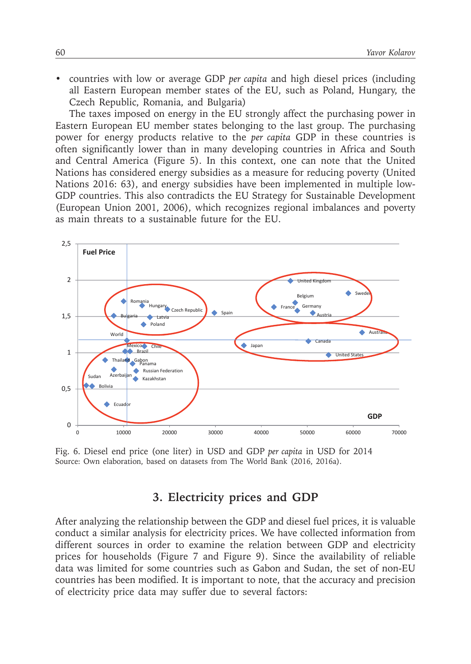• countries with low or average GDP *per capita* and high diesel prices (including all Eastern European member states of the EU, such as Poland, Hungary, the Czech Republic, Romania, and Bulgaria)

The taxes imposed on energy in the EU strongly affect the purchasing power in Eastern European EU member states belonging to the last group. The purchasing power for energy products relative to the *per capita* GDP in these countries is often significantly lower than in many developing countries in Africa and South and Central America (Figure 5). In this context, one can note that the United Nations has considered energy subsidies as a measure for reducing poverty (United Nations 2016: 63), and energy subsidies have been implemented in multiple low-GDP countries. This also contradicts the EU Strategy for Sustainable Development (European Union 2001, 2006), which recognizes regional imbalances and poverty as main threats to a sustainable future for the EU.



Fig. 6. Diesel end price (one liter) in USD and GDP *per capita* in USD for 2014 Source: Own elaboration, based on datasets from The World Bank (2016, 2016a).

## **3. Electricity prices and GDP**

After analyzing the relationship between the GDP and diesel fuel prices, it is valuable conduct a similar analysis for electricity prices. We have collected information from different sources in order to examine the relation between GDP and electricity prices for households (Figure 7 and Figure 9). Since the availability of reliable data was limited for some countries such as Gabon and Sudan, the set of non-EU countries has been modified. It is important to note, that the accuracy and precision of electricity price data may suffer due to several factors: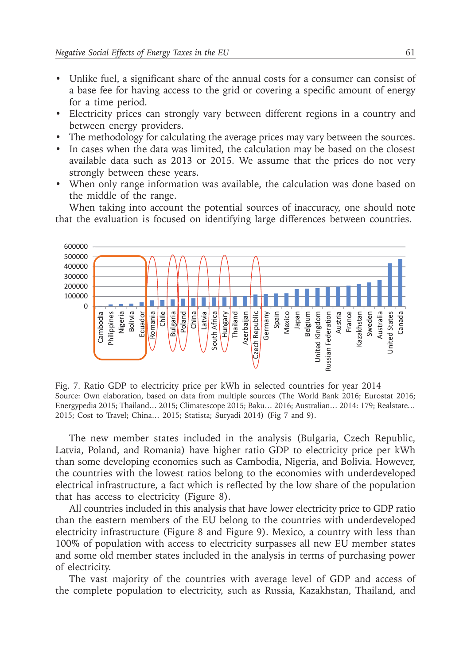- Unlike fuel, a significant share of the annual costs for a consumer can consist of a base fee for having access to the grid or covering a specific amount of energy for a time period.
- Electricity prices can strongly vary between different regions in a country and between energy providers.
- The methodology for calculating the average prices may vary between the sources.
- In cases when the data was limited, the calculation may be based on the closest available data such as 2013 or 2015. We assume that the prices do not very strongly between these years.
- When only range information was available, the calculation was done based on the middle of the range.

When taking into account the potential sources of inaccuracy, one should note that the evaluation is focused on identifying large differences between countries.



Fig. 7. Ratio GDP to electricity price per kWh in selected countries for year 2014 Source: Own elaboration, based on data from multiple sources (The World Bank 2016; Eurostat 2016; Energypedia 2015; Thailand… 2015; Climatescope 2015; Baku… 2016; Australian… 2014: 179; Realstate*…* 2015; Cost to Travel; China… 2015; Statista; Suryadi 2014) (Fig 7 and 9).

The new member states included in the analysis (Bulgaria, Czech Republic, Latvia, Poland, and Romania) have higher ratio GDP to electricity price per kWh than some developing economies such as Cambodia, Nigeria, and Bolivia. However, the countries with the lowest ratios belong to the economies with underdeveloped electrical infrastructure, a fact which is reflected by the low share of the population that has access to electricity (Figure 8).

All countries included in this analysis that have lower electricity price to GDP ratio than the eastern members of the EU belong to the countries with underdeveloped electricity infrastructure (Figure 8 and Figure 9). Mexico, a country with less than 100% of population with access to electricity surpasses all new EU member states and some old member states included in the analysis in terms of purchasing power of electricity.

The vast majority of the countries with average level of GDP and access of the complete population to electricity, such as Russia, Kazakhstan, Thailand, and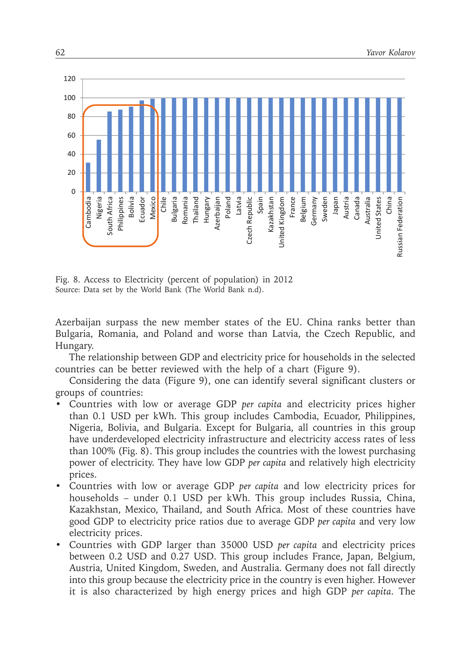

Fig. 8. Access to Electricity (percent of population) in 2012 Source: Data set by the World Bank (The World Bank n.d).

Azerbaijan surpass the new member states of the EU. China ranks better than Bulgaria, Romania, and Poland and worse than Latvia, the Czech Republic, and Hungary.

The relationship between GDP and electricity price for households in the selected countries can be better reviewed with the help of a chart (Figure 9).

Considering the data (Figure 9), one can identify several significant clusters or groups of countries:

- Countries with low or average GDP *per capita* and electricity prices higher than 0.1 USD per kWh. This group includes Cambodia, Ecuador, Philippines, Nigeria, Bolivia, and Bulgaria. Except for Bulgaria, all countries in this group have underdeveloped electricity infrastructure and electricity access rates of less than 100% (Fig. 8). This group includes the countries with the lowest purchasing power of electricity. They have low GDP *per capita* and relatively high electricity prices.
- Countries with low or average GDP *per capita* and low electricity prices for households – under 0.1 USD per kWh. This group includes Russia, China, Kazakhstan, Mexico, Thailand, and South Africa. Most of these countries have good GDP to electricity price ratios due to average GDP *per capita* and very low electricity prices.
- Countries with GDP larger than 35000 USD *per capita* and electricity prices between 0.2 USD and 0.27 USD. This group includes France, Japan, Belgium, Austria, United Kingdom, Sweden, and Australia. Germany does not fall directly into this group because the electricity price in the country is even higher. However it is also characterized by high energy prices and high GDP *per capita*. The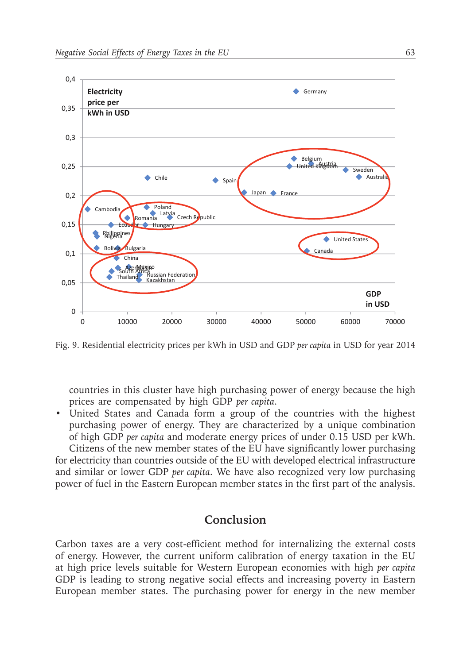

Fig. 9. Residential electricity prices per kWh in USD and GDP *per capita* in USD for year 2014

countries in this cluster have high purchasing power of energy because the high prices are compensated by high GDP *per capita*.

• United States and Canada form a group of the countries with the highest purchasing power of energy. They are characterized by a unique combination of high GDP *per capita* and moderate energy prices of under 0.15 USD per kWh.

Citizens of the new member states of the EU have significantly lower purchasing for electricity than countries outside of the EU with developed electrical infrastructure and similar or lower GDP *per capita*. We have also recognized very low purchasing power of fuel in the Eastern European member states in the first part of the analysis.

### **Conclusion**

Carbon taxes are a very cost-efficient method for internalizing the external costs of energy. However, the current uniform calibration of energy taxation in the EU at high price levels suitable for Western European economies with high *per capita* GDP is leading to strong negative social effects and increasing poverty in Eastern European member states. The purchasing power for energy in the new member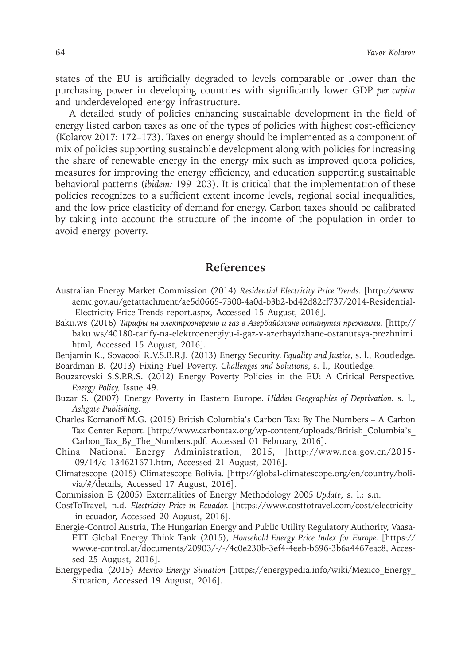states of the EU is artificially degraded to levels comparable or lower than the purchasing power in developing countries with significantly lower GDP *per capita* and underdeveloped energy infrastructure.

A detailed study of policies enhancing sustainable development in the field of energy listed carbon taxes as one of the types of policies with highest cost-efficiency (Kolarov 2017: 172–173). Taxes on energy should be implemented as a component of mix of policies supporting sustainable development along with policies for increasing the share of renewable energy in the energy mix such as improved quota policies, measures for improving the energy efficiency, and education supporting sustainable behavioral patterns (*ibidem:* 199–203). It is critical that the implementation of these policies recognizes to a sufficient extent income levels, regional social inequalities, and the low price elasticity of demand for energy. Carbon taxes should be calibrated by taking into account the structure of the income of the population in order to avoid energy poverty.

#### **References**

- Australian Energy Market Commission (2014) *Residential Electricity Price Trends.* [http://www. aemc.gov.au/getattachment/ae5d0665-7300-4a0d-b3b2-bd42d82cf737/2014-Residential- -Electricity-Price-Trends-report.aspx, Accessed 15 August, 2016].
- Baku.ws (2016) *Тарифы на электроэнергию и газ в Азербайджане останутся прежними.* [http:// baku.ws/40180-tarify-na-elektroenergiyu-i-gaz-v-azerbaydzhane-ostanutsya-prezhnimi. html, Accessed 15 August, 2016].
- Benjamin K., Sovacool R.V.S.B.R.J. (2013) Energy Security. *Equality and Justice,* s. l., Routledge. Boardman B. (2013) Fixing Fuel Poverty. *Challenges and Solutions*, s. l., Routledge.
- Bouzarovski S.S.P.R.S. (2012) Energy Poverty Policies in the EU: A Critical Perspective*. Energy Policy,* Issue 49.
- Buzar S. (2007) Energy Poverty in Eastern Europe. *Hidden Geographies of Deprivation.* s. l., *Ashgate Publishing.*
- Charles Komanoff M.G. (2015) British Columbia's Carbon Tax: By The Numbers A Carbon Tax Center Report. [http://www.carbontax.org/wp-content/uploads/British\_Columbia's\_ Carbon Tax By The Numbers.pdf, Accessed 01 February, 2016].
- China National Energy Administration, 2015, [http://www.nea.gov.cn/2015- -09/14/c\_134621671.htm, Accessed 21 August, 2016].
- Climatescope (2015) Climatescope Bolivia. [http://global-climatescope.org/en/country/bolivia/#/details, Accessed 17 August, 2016].
- Commission E (2005) Externalities of Energy Methodology 2005 *Update*, s. l.: s.n.
- CostToTravel*,* n.d. *Electricity Price in Ecuador.* [https://www.costtotravel.com/cost/electricity- -in-ecuador, Accessed 20 August, 2016].
- Energie-Control Austria, The Hungarian Energy and Public Utility Regulatory Authority, Vaasa-ETT Global Energy Think Tank (2015), *Household Energy Price Index for Europe.* [https:// www.e-control.at/documents/20903/-/-/4c0e230b-3ef4-4eeb-b696-3b6a4467eac8, Accessed 25 August, 2016].
- Energypedia (2015) *Mexico Energy Situation* [https://energypedia.info/wiki/Mexico\_Energy\_ Situation, Accessed 19 August, 2016].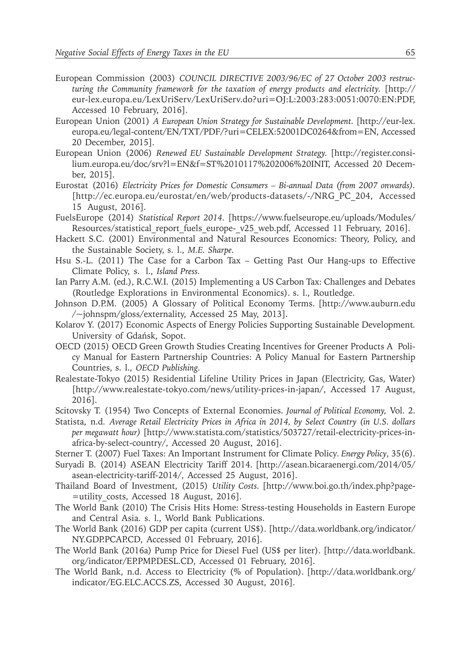- European Commission (2003) *COUNCIL DIRECTIVE 2003/96/EC of 27 October 2003 restructuring the Community framework for the taxation of energy products and electricity.* [http:// eur-lex.europa.eu/LexUriServ/LexUriServ.do?uri=OJ:L:2003:283:0051:0070:EN:PDF, Accessed 10 February, 2016].
- European Union (2001) *A European Union Strategy for Sustainable Development.* [http://eur-lex. europa.eu/legal-content/EN/TXT/PDF/?uri=CELEX:52001DC0264&from=EN, Accessed 20 December, 2015].
- European Union (2006) *Renewed EU Sustainable Development Strategy.* [http://register.consilium.europa.eu/doc/srv?l=EN&f=ST%2010117%202006%20INIT, Accessed 20 December, 2015].
- Eurostat (2016) *Electricity Prices for Domestic Consumers Bi-annual Data (from 2007 onwards).*  [http://ec.europa.eu/eurostat/en/web/products-datasets/-/NRG\_PC\_204, Accessed 15 August, 2016].
- FuelsEurope (2014) *Statistical Report 2014.* [https://www.fuelseurope.eu/uploads/Modules/ Resources/statistical report fuels europe- v25 web.pdf, Accessed 11 February, 2016].
- Hackett S.C. (2001) Environmental and Natural Resources Economics: Theory, Policy, and the Sustainable Society, s. l., *M.E. Sharpe.*
- Hsu S.-L. (2011) The Case for a Carbon Tax Getting Past Our Hang-ups to Effective Climate Policy, s. l., *Island Press.*
- Ian Parry A.M. (ed.), R.C.W.I. (2015) Implementing a US Carbon Tax: Challenges and Debates (Routledge Explorations in Environmental Economics). s. l., Routledge.
- Johnson D.P.M. (2005) A Glossary of Political Economy Terms. [http://www.auburn.edu /~johnspm/gloss/externality, Accessed 25 May, 2013].
- Kolarov Y. (2017) Economic Aspects of Energy Policies Supporting Sustainable Development*.*  University of Gdańsk, Sopot.
- OECD (2015) OECD Green Growth Studies Creating Incentives for Greener Products A Policy Manual for Eastern Partnership Countries: A Policy Manual for Eastern Partnership Countries, s. l., *OECD Publishing.*
- Realestate-Tokyo (2015) Residential Lifeline Utility Prices in Japan (Electricity, Gas, Water) [http://www.realestate-tokyo.com/news/utility-prices-in-japan/, Accessed 17 August, 2016].
- Scitovsky T. (1954) Two Concepts of External Economies. *Journal of Political Economy,* Vol. 2.
- Statista, n.d. *Average Retail Electricity Prices in Africa in 2014, by Select Country (in U.S. dollars per megawatt hour)* [http://www.statista.com/statistics/503727/retail-electricity-prices-inafrica-by-select-country/, Accessed 20 August, 2016].
- Sterner T. (2007) Fuel Taxes: An Important Instrument for Climate Policy*. Energy Policy*, 35(6).
- Suryadi B. (2014) ASEAN Electricity Tariff 2014. [http://asean.bicaraenergi.com/2014/05/ asean-electricity-tariff-2014/, Accessed 25 August, 2016].
- Thailand Board of Investment, (2015) *Utility Costs.* [http://www.boi.go.th/index.php?page- =utility\_costs, Accessed 18 August, 2016].
- The World Bank (2010) The Crisis Hits Home: Stress-testing Households in Eastern Europe and Central Asia. s. l., World Bank Publications.
- The World Bank (2016) GDP per capita (current US\$). [http://data.worldbank.org/indicator/ NY.GDP.PCAP.CD, Accessed 01 February, 2016].
- The World Bank (2016a) Pump Price for Diesel Fuel (US\$ per liter). [http://data.worldbank. org/indicator/EP.PMP.DESL.CD, Accessed 01 February, 2016].
- The World Bank, n.d. Access to Electricity (% of Population). [http://data.worldbank.org/ indicator/EG.ELC.ACCS.ZS, Accessed 30 August, 2016].